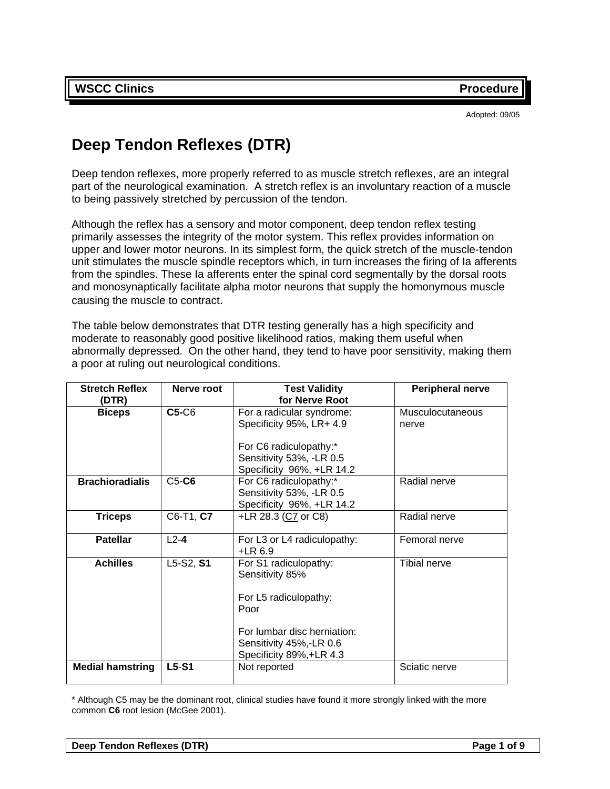Adopted: 09/05

# **Deep Tendon Reflexes (DTR)**

Deep tendon reflexes, more properly referred to as muscle stretch reflexes, are an integral part of the neurological examination. A stretch reflex is an involuntary reaction of a muscle to being passively stretched by percussion of the tendon.

Although the reflex has a sensory and motor component, deep tendon reflex testing primarily assesses the integrity of the motor system. This reflex provides information on upper and lower motor neurons. In its simplest form, the quick stretch of the muscle-tendon unit stimulates the muscle spindle receptors which, in turn increases the firing of Ia afferents from the spindles. These Ia afferents enter the spinal cord segmentally by the dorsal roots and monosynaptically facilitate alpha motor neurons that supply the homonymous muscle causing the muscle to contract.

The table below demonstrates that DTR testing generally has a high specificity and moderate to reasonably good positive likelihood ratios, making them useful when abnormally depressed. On the other hand, they tend to have poor sensitivity, making them a poor at ruling out neurological conditions.

| <b>Stretch Reflex</b><br>(DTR) | Nerve root | <b>Test Validity</b><br>for Nerve Root                                                                                                                          | <b>Peripheral nerve</b>          |
|--------------------------------|------------|-----------------------------------------------------------------------------------------------------------------------------------------------------------------|----------------------------------|
| <b>Biceps</b>                  | $C5-C6$    | For a radicular syndrome:<br>Specificity 95%, LR+ 4.9<br>For C6 radiculopathy:*<br>Sensitivity 53%, -LR 0.5<br>Specificity 96%, +LR 14.2                        | <b>Musculocutaneous</b><br>nerve |
| <b>Brachioradialis</b>         | $C5-C6$    | For C6 radiculopathy:*<br>Radial nerve<br>Sensitivity 53%, -LR 0.5<br>Specificity 96%, +LR 14.2                                                                 |                                  |
| <b>Triceps</b>                 | C6-T1, C7  | +LR 28.3 (C7 or C8)<br>Radial nerve                                                                                                                             |                                  |
| <b>Patellar</b>                | $L2-4$     | For L3 or L4 radiculopathy:<br>$+LR$ 6.9                                                                                                                        | Femoral nerve                    |
| <b>Achilles</b>                | L5-S2, S1  | For S1 radiculopathy:<br>Sensitivity 85%<br>For L5 radiculopathy:<br>Poor<br>For lumbar disc herniation:<br>Sensitivity 45%,-LR 0.6<br>Specificity 89%, +LR 4.3 | Tibial nerve                     |
| <b>Medial hamstring</b>        | $L5-S1$    | Not reported                                                                                                                                                    | Sciatic nerve                    |

\* Although C5 may be the dominant root, clinical studies have found it more strongly linked with the more common **C6** root lesion (McGee 2001).

|--|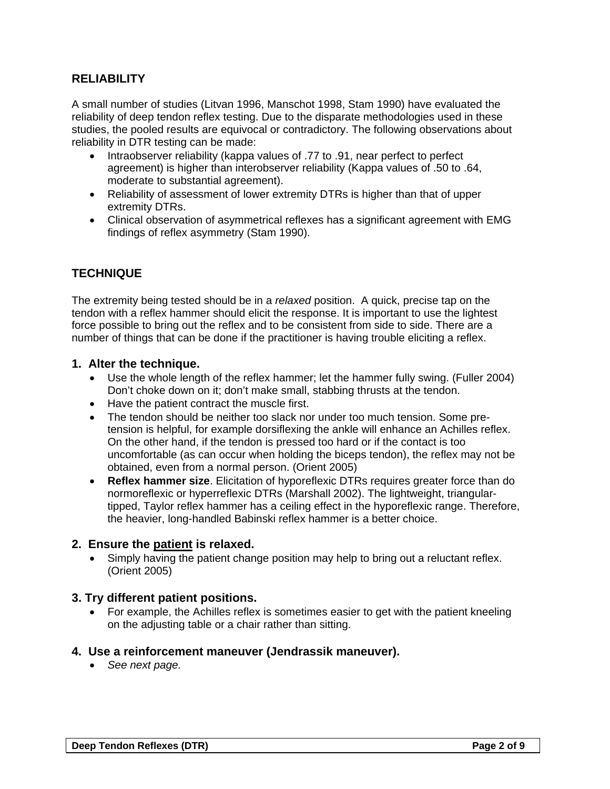### **RELIABILITY**

A small number of studies (Litvan 1996, Manschot 1998, Stam 1990) have evaluated the reliability of deep tendon reflex testing. Due to the disparate methodologies used in these studies, the pooled results are equivocal or contradictory. The following observations about reliability in DTR testing can be made:

- Intraobserver reliability (kappa values of .77 to .91, near perfect to perfect agreement) is higher than interobserver reliability (Kappa values of .50 to .64, moderate to substantial agreement).
- Reliability of assessment of lower extremity DTRs is higher than that of upper extremity DTRs.
- Clinical observation of asymmetrical reflexes has a significant agreement with EMG findings of reflex asymmetry (Stam 1990).

# **TECHNIQUE**

The extremity being tested should be in a *relaxed* position. A quick, precise tap on the tendon with a reflex hammer should elicit the response. It is important to use the lightest force possible to bring out the reflex and to be consistent from side to side. There are a number of things that can be done if the practitioner is having trouble eliciting a reflex.

### **1. Alter the technique.**

- Use the whole length of the reflex hammer; let the hammer fully swing. (Fuller 2004) Don't choke down on it; don't make small, stabbing thrusts at the tendon.
- Have the patient contract the muscle first.
- The tendon should be neither too slack nor under too much tension. Some pretension is helpful, for example dorsiflexing the ankle will enhance an Achilles reflex. On the other hand, if the tendon is pressed too hard or if the contact is too uncomfortable (as can occur when holding the biceps tendon), the reflex may not be obtained, even from a normal person. (Orient 2005)
- **Reflex hammer size**. Elicitation of hyporeflexic DTRs requires greater force than do normoreflexic or hyperreflexic DTRs (Marshall 2002). The lightweight, triangulartipped, Taylor reflex hammer has a ceiling effect in the hyporeflexic range. Therefore, the heavier, long-handled Babinski reflex hammer is a better choice.

### **2. Ensure the patient is relaxed.**

Simply having the patient change position may help to bring out a reluctant reflex. (Orient 2005)

### **3. Try different patient positions.**

• For example, the Achilles reflex is sometimes easier to get with the patient kneeling on the adjusting table or a chair rather than sitting.

### **4. Use a reinforcement maneuver (Jendrassik maneuver).**

• *See next page.*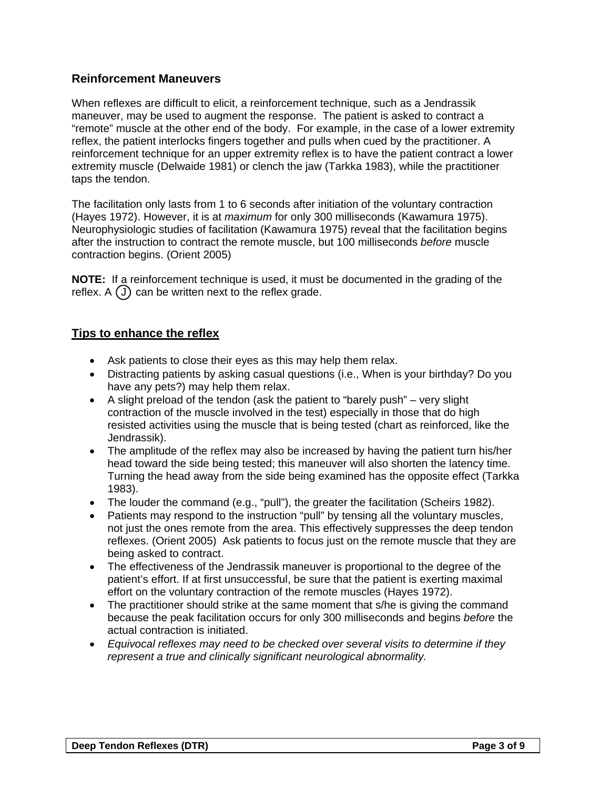### **Reinforcement Maneuvers**

When reflexes are difficult to elicit, a reinforcement technique, such as a Jendrassik maneuver, may be used to augment the response. The patient is asked to contract a "remote" muscle at the other end of the body. For example, in the case of a lower extremity reflex, the patient interlocks fingers together and pulls when cued by the practitioner. A reinforcement technique for an upper extremity reflex is to have the patient contract a lower extremity muscle (Delwaide 1981) or clench the jaw (Tarkka 1983), while the practitioner taps the tendon.

The facilitation only lasts from 1 to 6 seconds after initiation of the voluntary contraction (Hayes 1972). However, it is at *maximum* for only 300 milliseconds (Kawamura 1975). Neurophysiologic studies of facilitation (Kawamura 1975) reveal that the facilitation begins after the instruction to contract the remote muscle, but 100 milliseconds *before* muscle contraction begins. (Orient 2005)

**NOTE:** If a reinforcement technique is used, it must be documented in the grading of the reflex.  $A(J)$  can be written next to the reflex grade.

### **Tips to enhance the reflex**

- Ask patients to close their eyes as this may help them relax.
- Distracting patients by asking casual questions (i.e., When is your birthday? Do you have any pets?) may help them relax.
- A slight preload of the tendon (ask the patient to "barely push" very slight contraction of the muscle involved in the test) especially in those that do high resisted activities using the muscle that is being tested (chart as reinforced, like the Jendrassik).
- The amplitude of the reflex may also be increased by having the patient turn his/her head toward the side being tested; this maneuver will also shorten the latency time. Turning the head away from the side being examined has the opposite effect (Tarkka 1983).
- The louder the command (e.g., "pull"), the greater the facilitation (Scheirs 1982).
- Patients may respond to the instruction "pull" by tensing all the voluntary muscles, not just the ones remote from the area. This effectively suppresses the deep tendon reflexes. (Orient 2005) Ask patients to focus just on the remote muscle that they are being asked to contract.
- The effectiveness of the Jendrassik maneuver is proportional to the degree of the patient's effort. If at first unsuccessful, be sure that the patient is exerting maximal effort on the voluntary contraction of the remote muscles (Hayes 1972).
- The practitioner should strike at the same moment that s/he is giving the command because the peak facilitation occurs for only 300 milliseconds and begins *before* the actual contraction is initiated.
- *Equivocal reflexes may need to be checked over several visits to determine if they represent a true and clinically significant neurological abnormality.*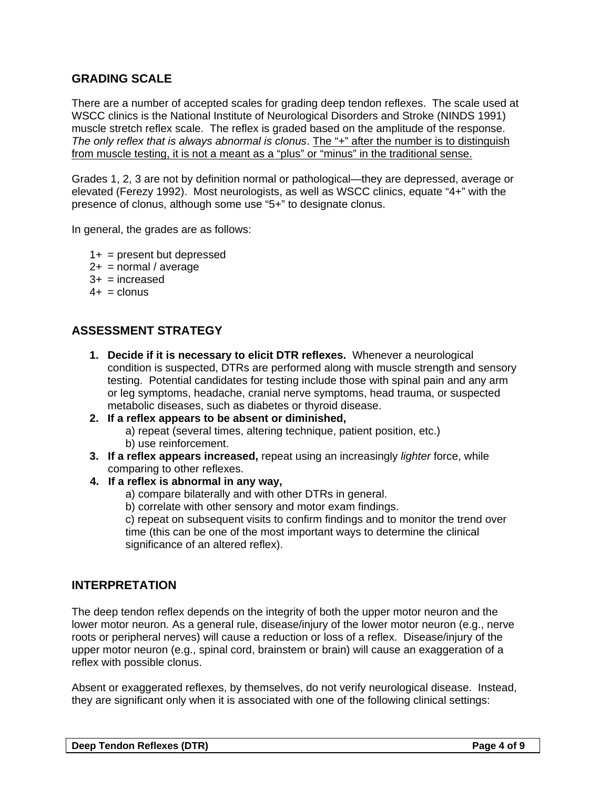### **GRADING SCALE**

There are a number of accepted scales for grading deep tendon reflexes. The scale used at WSCC clinics is the National Institute of Neurological Disorders and Stroke (NINDS 1991) muscle stretch reflex scale. The reflex is graded based on the amplitude of the response. *The only reflex that is always abnormal is clonus*. The "+" after the number is to distinguish from muscle testing, it is not a meant as a "plus" or "minus" in the traditional sense.

Grades 1, 2, 3 are not by definition normal or pathological—they are depressed, average or elevated (Ferezy 1992). Most neurologists, as well as WSCC clinics, equate "4+" with the presence of clonus, although some use "5+" to designate clonus.

In general, the grades are as follows:

- $1+$  = present but depressed
- $2+$  = normal / average
- $3+$  = increased
- $4+$  = clonus

### **ASSESSMENT STRATEGY**

- **1. Decide if it is necessary to elicit DTR reflexes.** Whenever a neurological condition is suspected, DTRs are performed along with muscle strength and sensory testing. Potential candidates for testing include those with spinal pain and any arm or leg symptoms, headache, cranial nerve symptoms, head trauma, or suspected metabolic diseases, such as diabetes or thyroid disease.
- **2. If a reflex appears to be absent or diminished,**  a) repeat (several times, altering technique, patient position, etc.) b) use reinforcement.
- **3. If a reflex appears increased,** repeat using an increasingly *lighter* force, while comparing to other reflexes.

#### **4. If a reflex is abnormal in any way,**

a) compare bilaterally and with other DTRs in general.

b) correlate with other sensory and motor exam findings.

c) repeat on subsequent visits to confirm findings and to monitor the trend over time (this can be one of the most important ways to determine the clinical significance of an altered reflex).

### **INTERPRETATION**

The deep tendon reflex depends on the integrity of both the upper motor neuron and the lower motor neuron. As a general rule, disease/injury of the lower motor neuron (e.g., nerve roots or peripheral nerves) will cause a reduction or loss of a reflex. Disease/injury of the upper motor neuron (e.g., spinal cord, brainstem or brain) will cause an exaggeration of a reflex with possible clonus.

Absent or exaggerated reflexes, by themselves, do not verify neurological disease. Instead, they are significant only when it is associated with one of the following clinical settings: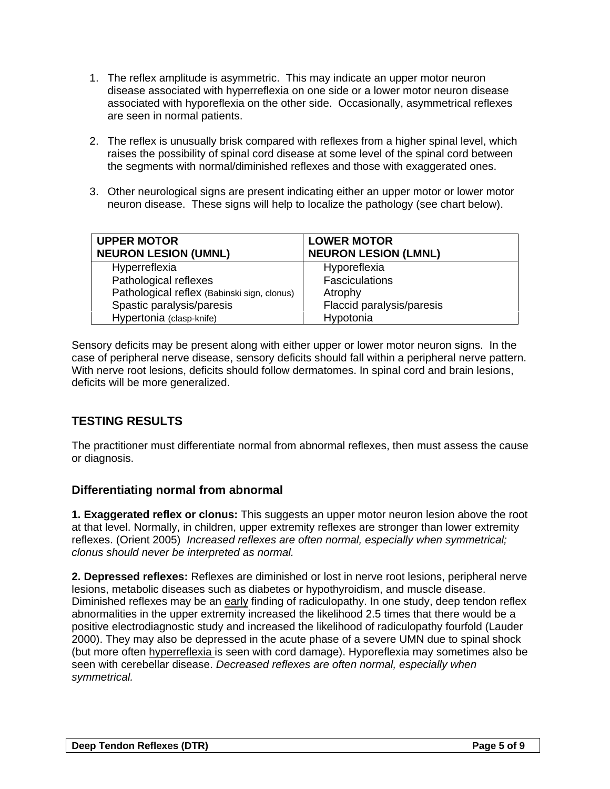- 1. The reflex amplitude is asymmetric. This may indicate an upper motor neuron disease associated with hyperreflexia on one side or a lower motor neuron disease associated with hyporeflexia on the other side. Occasionally, asymmetrical reflexes are seen in normal patients.
- 2. The reflex is unusually brisk compared with reflexes from a higher spinal level, which raises the possibility of spinal cord disease at some level of the spinal cord between the segments with normal/diminished reflexes and those with exaggerated ones.
- 3. Other neurological signs are present indicating either an upper motor or lower motor neuron disease. These signs will help to localize the pathology (see chart below).

| <b>UPPER MOTOR</b><br><b>NEURON LESION (UMNL)</b> | <b>LOWER MOTOR</b><br><b>NEURON LESION (LMNL)</b> |
|---------------------------------------------------|---------------------------------------------------|
|                                                   |                                                   |
| Hyperreflexia                                     | Hyporeflexia                                      |
| Pathological reflexes                             | <b>Fasciculations</b>                             |
| Pathological reflex (Babinski sign, clonus)       | Atrophy                                           |
| Spastic paralysis/paresis                         | Flaccid paralysis/paresis                         |
| Hypertonia (clasp-knife)                          | Hypotonia                                         |

Sensory deficits may be present along with either upper or lower motor neuron signs. In the case of peripheral nerve disease, sensory deficits should fall within a peripheral nerve pattern. With nerve root lesions, deficits should follow dermatomes. In spinal cord and brain lesions, deficits will be more generalized.

# **TESTING RESULTS**

The practitioner must differentiate normal from abnormal reflexes, then must assess the cause or diagnosis.

### **Differentiating normal from abnormal**

**1. Exaggerated reflex or clonus:** This suggests an upper motor neuron lesion above the root at that level. Normally, in children, upper extremity reflexes are stronger than lower extremity reflexes. (Orient 2005) *Increased reflexes are often normal, especially when symmetrical; clonus should never be interpreted as normal.* 

**2. Depressed reflexes:** Reflexes are diminished or lost in nerve root lesions, peripheral nerve lesions, metabolic diseases such as diabetes or hypothyroidism, and muscle disease. Diminished reflexes may be an early finding of radiculopathy. In one study, deep tendon reflex abnormalities in the upper extremity increased the likelihood 2.5 times that there would be a positive electrodiagnostic study and increased the likelihood of radiculopathy fourfold (Lauder 2000). They may also be depressed in the acute phase of a severe UMN due to spinal shock (but more often hyperreflexia is seen with cord damage). Hyporeflexia may sometimes also be seen with cerebellar disease. *Decreased reflexes are often normal, especially when symmetrical.*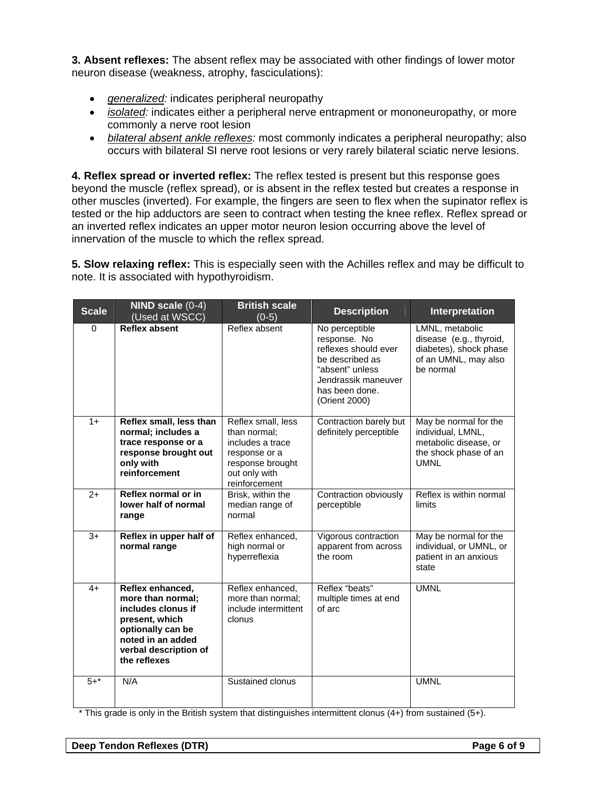**3. Absent reflexes:** The absent reflex may be associated with other findings of lower motor neuron disease (weakness, atrophy, fasciculations):

- *generalized:* indicates peripheral neuropathy
- *isolated:* indicates either a peripheral nerve entrapment or mononeuropathy, or more commonly a nerve root lesion
- *bilateral absent ankle reflexes:* most commonly indicates a peripheral neuropathy; also occurs with bilateral SI nerve root lesions or very rarely bilateral sciatic nerve lesions.

**4. Reflex spread or inverted reflex:** The reflex tested is present but this response goes beyond the muscle (reflex spread), or is absent in the reflex tested but creates a response in other muscles (inverted). For example, the fingers are seen to flex when the supinator reflex is tested or the hip adductors are seen to contract when testing the knee reflex. Reflex spread or an inverted reflex indicates an upper motor neuron lesion occurring above the level of innervation of the muscle to which the reflex spread.

**5. Slow relaxing reflex:** This is especially seen with the Achilles reflex and may be difficult to note. It is associated with hypothyroidism.

| <b>Scale</b> | NIND scale $(0-4)$<br>(Used at WSCC)                                                                                                                             | <b>British scale</b><br>$(0-5)$                                                                                               | <b>Description</b>                                                                                                                                     | Interpretation                                                                                              |
|--------------|------------------------------------------------------------------------------------------------------------------------------------------------------------------|-------------------------------------------------------------------------------------------------------------------------------|--------------------------------------------------------------------------------------------------------------------------------------------------------|-------------------------------------------------------------------------------------------------------------|
| $\Omega$     | <b>Reflex absent</b>                                                                                                                                             | Reflex absent                                                                                                                 | No perceptible<br>response. No<br>reflexes should ever<br>be described as<br>"absent" unless<br>Jendrassik maneuver<br>has been done.<br>(Orient 2000) | LMNL, metabolic<br>disease (e.g., thyroid,<br>diabetes), shock phase<br>of an UMNL, may also<br>be normal   |
| $1+$         | Reflex small, less than<br>normal; includes a<br>trace response or a<br>response brought out<br>only with<br>reinforcement                                       | Reflex small, less<br>than normal;<br>includes a trace<br>response or a<br>response brought<br>out only with<br>reinforcement | Contraction barely but<br>definitely perceptible                                                                                                       | May be normal for the<br>individual, LMNL,<br>metabolic disease, or<br>the shock phase of an<br><b>UMNL</b> |
| $2+$         | Reflex normal or in<br>lower half of normal<br>range                                                                                                             | Brisk, within the<br>median range of<br>normal                                                                                | Contraction obviously<br>perceptible                                                                                                                   | Reflex is within normal<br>limits                                                                           |
| $3+$         | Reflex in upper half of<br>normal range                                                                                                                          | Reflex enhanced,<br>high normal or<br>hyperreflexia                                                                           | Vigorous contraction<br>apparent from across<br>the room                                                                                               | May be normal for the<br>individual, or UMNL, or<br>patient in an anxious<br>state                          |
| $4+$         | Reflex enhanced,<br>more than normal:<br>includes clonus if<br>present, which<br>optionally can be<br>noted in an added<br>verbal description of<br>the reflexes | Reflex enhanced,<br>more than normal;<br>include intermittent<br>clonus                                                       | Reflex "beats"<br>multiple times at end<br>of arc                                                                                                      | <b>UMNL</b>                                                                                                 |
| $5 + *$      | N/A                                                                                                                                                              | Sustained clonus                                                                                                              |                                                                                                                                                        | <b>UMNL</b>                                                                                                 |

\* This grade is only in the British system that distinguishes intermittent clonus (4+) from sustained (5+).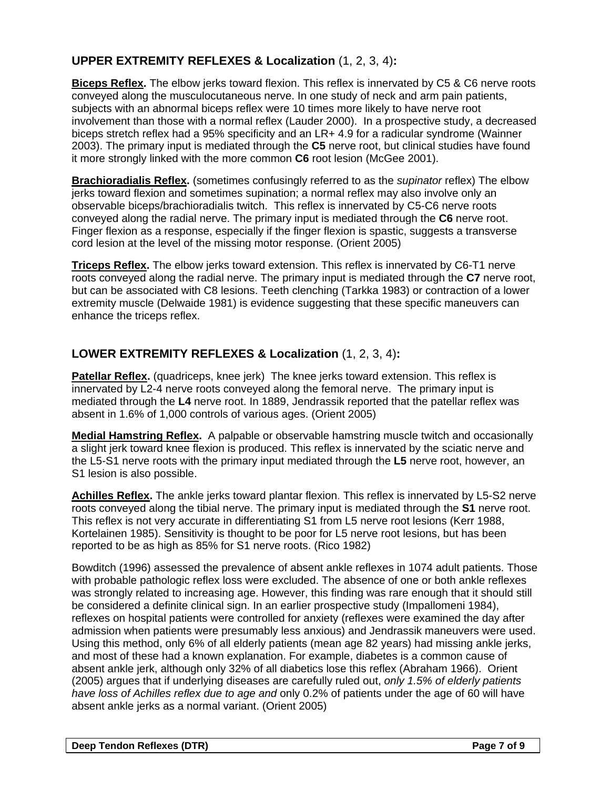# **UPPER EXTREMITY REFLEXES & Localization** (1, 2, 3, 4)**:**

**Biceps Reflex.** The elbow jerks toward flexion. This reflex is innervated by C5 & C6 nerve roots conveyed along the musculocutaneous nerve. In one study of neck and arm pain patients, subjects with an abnormal biceps reflex were 10 times more likely to have nerve root involvement than those with a normal reflex (Lauder 2000). In a prospective study, a decreased biceps stretch reflex had a 95% specificity and an LR+ 4.9 for a radicular syndrome (Wainner 2003). The primary input is mediated through the **C5** nerve root, but clinical studies have found it more strongly linked with the more common **C6** root lesion (McGee 2001).

**Brachioradialis Reflex.** (sometimes confusingly referred to as the *supinator* reflex) The elbow jerks toward flexion and sometimes supination; a normal reflex may also involve only an observable biceps/brachioradialis twitch.This reflex is innervated by C5-C6 nerve roots conveyed along the radial nerve. The primary input is mediated through the **C6** nerve root. Finger flexion as a response, especially if the finger flexion is spastic, suggests a transverse cord lesion at the level of the missing motor response. (Orient 2005)

**Triceps Reflex.** The elbow jerks toward extension. This reflex is innervated by C6-T1 nerve roots conveyed along the radial nerve. The primary input is mediated through the **C7** nerve root, but can be associated with C8 lesions. Teeth clenching (Tarkka 1983) or contraction of a lower extremity muscle (Delwaide 1981) is evidence suggesting that these specific maneuvers can enhance the triceps reflex.

# **LOWER EXTREMITY REFLEXES & Localization** (1, 2, 3, 4)**:**

**Patellar Reflex.** (quadriceps, knee jerk) The knee jerks toward extension. This reflex is innervated by L2-4 nerve roots conveyed along the femoral nerve. The primary input is mediated through the **L4** nerve root. In 1889, Jendrassik reported that the patellar reflex was absent in 1.6% of 1,000 controls of various ages. (Orient 2005)

**Medial Hamstring Reflex.** A palpable or observable hamstring muscle twitch and occasionally a slight jerk toward knee flexion is produced. This reflex is innervated by the sciatic nerve and the L5-S1 nerve roots with the primary input mediated through the **L5** nerve root, however, an S1 lesion is also possible.

**Achilles Reflex.** The ankle jerks toward plantar flexion. This reflex is innervated by L5-S2 nerve roots conveyed along the tibial nerve. The primary input is mediated through the **S1** nerve root. This reflex is not very accurate in differentiating S1 from L5 nerve root lesions (Kerr 1988, Kortelainen 1985). Sensitivity is thought to be poor for L5 nerve root lesions, but has been reported to be as high as 85% for S1 nerve roots. (Rico 1982)

Bowditch (1996) assessed the prevalence of absent ankle reflexes in 1074 adult patients. Those with probable pathologic reflex loss were excluded. The absence of one or both ankle reflexes was strongly related to increasing age. However, this finding was rare enough that it should still be considered a definite clinical sign. In an earlier prospective study (Impallomeni 1984), reflexes on hospital patients were controlled for anxiety (reflexes were examined the day after admission when patients were presumably less anxious) and Jendrassik maneuvers were used. Using this method, only 6% of all elderly patients (mean age 82 years) had missing ankle jerks, and most of these had a known explanation. For example, diabetes is a common cause of absent ankle jerk, although only 32% of all diabetics lose this reflex (Abraham 1966). Orient (2005) argues that if underlying diseases are carefully ruled out, *only 1.5% of elderly patients have loss of Achilles reflex due to age and* only 0.2% of patients under the age of 60 will have absent ankle jerks as a normal variant. (Orient 2005)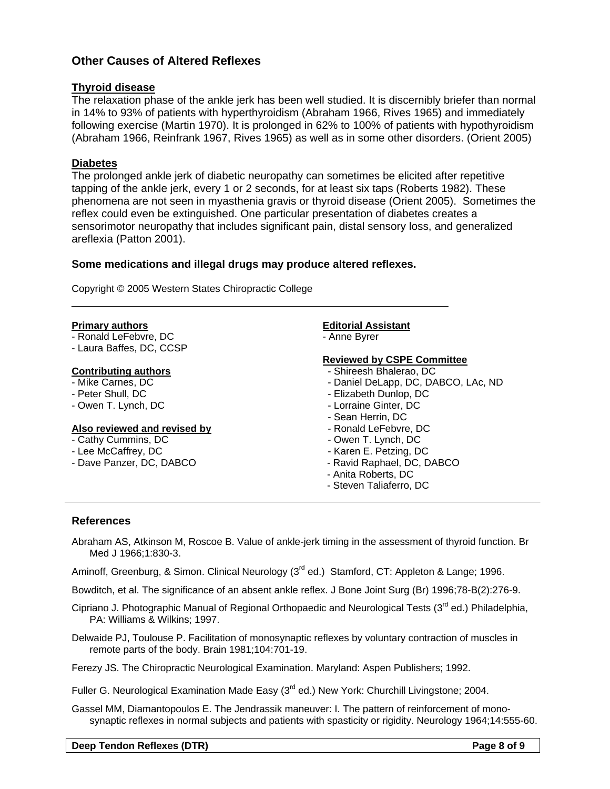### **Other Causes of Altered Reflexes**

#### **Thyroid disease**

The relaxation phase of the ankle jerk has been well studied. It is discernibly briefer than normal in 14% to 93% of patients with hyperthyroidism (Abraham 1966, Rives 1965) and immediately following exercise (Martin 1970). It is prolonged in 62% to 100% of patients with hypothyroidism (Abraham 1966, Reinfrank 1967, Rives 1965) as well as in some other disorders. (Orient 2005)

#### **Diabetes**

The prolonged ankle jerk of diabetic neuropathy can sometimes be elicited after repetitive tapping of the ankle jerk, every 1 or 2 seconds, for at least six taps (Roberts 1982). These phenomena are not seen in myasthenia gravis or thyroid disease (Orient 2005). Sometimes the reflex could even be extinguished. One particular presentation of diabetes creates a sensorimotor neuropathy that includes significant pain, distal sensory loss, and generalized areflexia (Patton 2001).

#### **Some medications and illegal drugs may produce altered reflexes.**

Copyright © 2005 Western States Chiropractic College

#### **Primary authors**

- Ronald LeFebvre, DC
- Laura Baffes, DC, CCSP

#### **Contributing authors**

- Mike Carnes, DC
- Peter Shull, DC
- Owen T. Lynch, DC

#### **Also reviewed and revised by**

- Cathy Cummins, DC
- Lee McCaffrey, DC
- Dave Panzer, DC, DABCO

#### **Editorial Assistant**

- Anne Byrer

#### **Reviewed by CSPE Committee**

- Shireesh Bhalerao, DC
- Daniel DeLapp, DC, DABCO, LAc, ND
- Elizabeth Dunlop, DC
- Lorraine Ginter, DC
- Sean Herrin, DC
- Ronald LeFebvre, DC
- Owen T. Lynch, DC
- Karen E. Petzing, DC
- Ravid Raphael, DC, DABCO
- Anita Roberts, DC
- Steven Taliaferro, DC

#### **References**

Abraham AS, Atkinson M, Roscoe B. Value of ankle-jerk timing in the assessment of thyroid function. Br Med J 1966;1:830-3.

Aminoff, Greenburg, & Simon. Clinical Neurology (3<sup>rd</sup> ed.) Stamford, CT: Appleton & Lange; 1996.

Bowditch, et al. The significance of an absent ankle reflex. J Bone Joint Surg (Br) 1996;78-B(2):276-9.

- Cipriano J. Photographic Manual of Regional Orthopaedic and Neurological Tests (3<sup>rd</sup> ed.) Philadelphia, PA: Williams & Wilkins; 1997.
- Delwaide PJ, Toulouse P. Facilitation of monosynaptic reflexes by voluntary contraction of muscles in remote parts of the body. Brain 1981;104:701-19.

Ferezy JS. The Chiropractic Neurological Examination. Maryland: Aspen Publishers; 1992.

Fuller G. Neurological Examination Made Easy (3<sup>rd</sup> ed.) New York: Churchill Livingstone; 2004.

Gassel MM, Diamantopoulos E. The Jendrassik maneuver: I. The pattern of reinforcement of monosynaptic reflexes in normal subjects and patients with spasticity or rigidity. Neurology 1964;14:555-60.

**Deep Tendon Reflexes (DTR)** Page 8 of 9